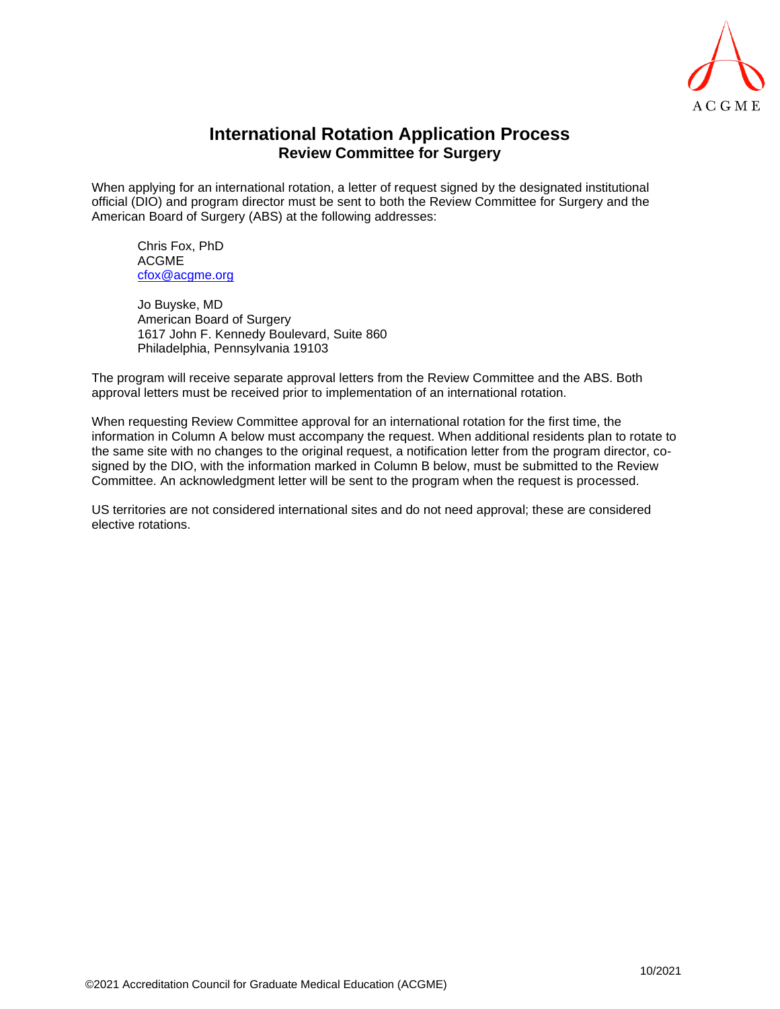

## **International Rotation Application Process Review Committee for Surgery**

When applying for an international rotation, a letter of request signed by the designated institutional official (DIO) and program director must be sent to both the Review Committee for Surgery and the American Board of Surgery (ABS) at the following addresses:

Chris Fox, PhD ACGME [c](mailto:cfox@acgme.org)[fox@acgme.org](mailto:fox@acgme.org)

Jo Buyske, MD American Board of Surgery 1617 John F. Kennedy Boulevard, Suite 860 Philadelphia, Pennsylvania 19103

The program will receive separate approval letters from the Review Committee and the ABS. Both approval letters must be received prior to implementation of an international rotation.

When requesting Review Committee approval for an international rotation for the first time, the information in Column A below must accompany the request. When additional residents plan to rotate to the same site with no changes to the original request, a notification letter from the program director, cosigned by the DIO, with the information marked in Column B below, must be submitted to the Review Committee. An acknowledgment letter will be sent to the program when the request is processed.

US territories are not considered international sites and do not need approval; these are considered elective rotations.